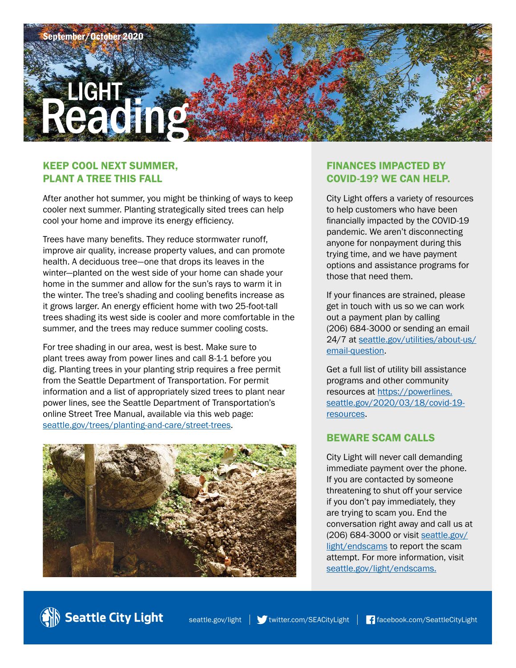

## KEEP COOL NEXT SUMMER, PLANT A TREE THIS FALL

After another hot summer, you might be thinking of ways to keep cooler next summer. Planting strategically sited trees can help cool your home and improve its energy efficiency.

Trees have many benefits. They reduce stormwater runoff, improve air quality, increase property values, and can promote health. A deciduous tree—one that drops its leaves in the winter—planted on the west side of your home can shade your home in the summer and allow for the sun's rays to warm it in the winter. The tree's shading and cooling benefits increase as it grows larger. An energy efficient home with two 25-foot-tall trees shading its west side is cooler and more comfortable in the summer, and the trees may reduce summer cooling costs.

For tree shading in our area, west is best. Make sure to plant trees away from power lines and call 8-1-1 before you dig. Planting trees in your planting strip requires a free permit from the Seattle Department of Transportation. For permit information and a list of appropriately sized trees to plant near power lines, see the Seattle Department of Transportation's online Street Tree Manual, available via this web page: [seattle.gov/trees/planting-and-care/street-trees](http://www.seattle.gov/trees/planting-and-care/street-trees).



## FINANCES IMPACTED BY COVID-19? WE CAN HELP.

City Light offers a variety of resources to help customers who have been financially impacted by the COVID-19 pandemic. We aren't disconnecting anyone for nonpayment during this trying time, and we have payment options and assistance programs for those that need them.

If your finances are strained, please get in touch with us so we can work out a payment plan by calling (206) 684-3000 or sending an email [24/7 at seattle.gov/utilities/about-us/](http://www.seattle.gov/utilities/about-us/email-question) email-question.

Get a full list of utility bill assistance programs and other community resources at https://powerlines. [seattle.gov/2020/03/18/covid-19](https://powerlines.seattle.gov/2020/03/18/covid-19-resources) resources.

#### BEWARE SCAM CALLS

City Light will never call demanding immediate payment over the phone. If you are contacted by someone threatening to shut off your service if you don't pay immediately, they are trying to scam you. End the conversation right away and call us at (206) 684-3000 or visit [seattle.gov/](http://www.seattle.gov/light/endscams) [light/endscams](http://www.seattle.gov/light/endscams) to report the scam attempt. For more information, visit [seattle.gov/light/endscams](http://www.seattle.gov/light/endscams).